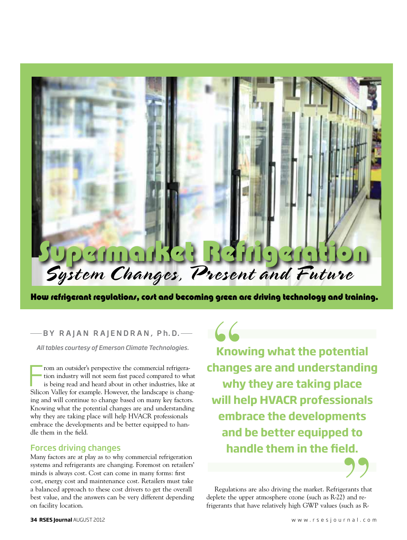# Supermarket Refrigeration System Changes, Present and Future

How refrigerant regulations, cost and becoming green are driving technology and training.

*All tables courtesy of Emerson Climate Technologies.*

From an outsider's perspective the commercial refrigeration industry will not seem fast paced compared to what is being read and heard about in other industries, like at Silicon Valley for example. However, the landscape i rom an outsider's perspective the commercial refrigeration industry will not seem fast paced compared to what is being read and heard about in other industries, like at ing and will continue to change based on many key factors. Knowing what the potential changes are and understanding why they are taking place will help HVACR professionals embrace the developments and be better equipped to handle them in the field. BY RAJAN RAJENDRAN, Ph.D.  $\overline{\phantom{a}}$ <br>
Itables courtesy of Emerson Climate Technologies.<br> **Change**<br>
tion industry will not seem fast paced compared to what<br>
is being read and heard about in other industries, like at<br>
Do V

### Forces driving changes

Many factors are at play as to why commercial refrigeration systems and refrigerants are changing. Foremost on retailers' minds is always cost. Cost can come in many forms: first cost, energy cost and maintenance cost. Retailers must take a balanced approach to these cost drivers to get the overall best value, and the answers can be very different depending on facility location.

**Knowing what the potential changes are and understanding why they are taking place will help HVACR professionals embrace the developments and be better equipped to handle them in the field.**



Regulations are also driving the market. Refrigerants that deplete the upper atmosphere ozone (such as R-22) and refrigerants that have relatively high GWP values (such as R-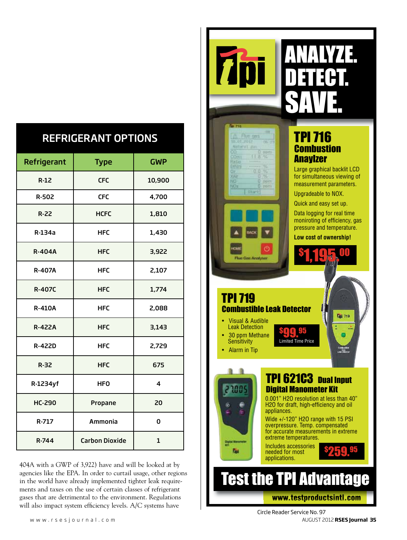| <b>REFRIGERANT OPTIONS</b> |  |
|----------------------------|--|
|                            |  |

| Refrigerant   | <b>Type</b>           | <b>GWP</b>              |
|---------------|-----------------------|-------------------------|
| $R-12$        | <b>CFC</b>            | 10,900                  |
| R-502         | <b>CFC</b>            | 4,700                   |
| $R-22$        | <b>HCFC</b>           | 1,810                   |
| R-134a        | <b>HFC</b>            | 1,430                   |
| <b>R-404A</b> | <b>HFC</b>            | 3,922                   |
| <b>R-407A</b> | <b>HFC</b>            | 2,107                   |
| <b>R-407C</b> | <b>HFC</b>            | 1,774                   |
| <b>R-410A</b> | <b>HFC</b>            | 2,088                   |
| <b>R-422A</b> | <b>HFC</b>            | 3,143                   |
| <b>R-422D</b> | <b>HFC</b>            | 2,729                   |
| $R-32$        | <b>HFC</b>            | 675                     |
| R-1234yf      | <b>HFO</b>            | $\overline{\mathbf{4}}$ |
| <b>HC-290</b> | Propane               | 20                      |
| R-717         | Ammonia               | 0                       |
| R-744         | <b>Carbon Dioxide</b> | 1                       |

404A with a GWP of 3,922) have and will be looked at by agencies like the EPA. In order to curtail usage, other regions in the world have already implemented tighter leak requirements and taxes on the use of certain classes of refrigerant gases that are detrimental to the environment. Regulations will also impact system efficiency levels. A/C systems have

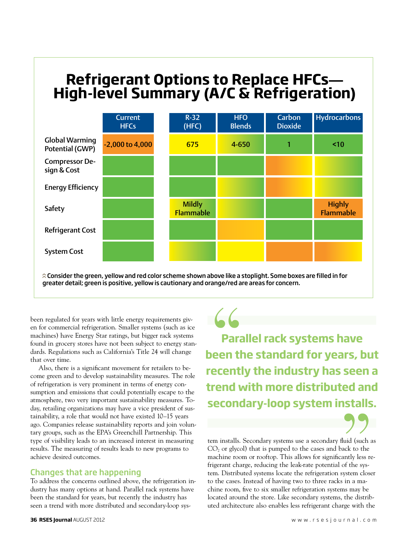## **Pefrigerant Ontions to Penlace HFCs—** *High level summary (AC & Ref)* **Refrigerant Options to Replace HFCs— High-level Summary (A/C & Refrigeration)**



.<br>Consider the green, yellow and red color scheme shown above like a stoplight. Some boxes are filled in for greater detail; green is positive, yellow is cautionary and orange/red are areas for concern.

been regulated for years with little energy requirements given for commercial refrigeration. Smaller systems (such as ice machines) have Energy Star ratings, but bigger rack systems found in grocery stores have not been su en for commercial refrigeration. Smaller systems (such as ice machines) have Energy Star ratings, but bigger rack systems found in grocery stores have not been subject to energy standards. Regulations such as California's Title 24 will change that over time.

Also, there is a significant movement for retailers to become green and to develop sustainability measures. The role of refrigeration is very prominent in terms of energy consumption and emissions that could potentially escape to the atmosphere, two very important sustainability measures. Today, retailing organizations may have a vice president of sustainability, a role that would not have existed 10–15 years ago. Companies release sustainability reports and join voluntary groups, such as the EPA's Greenchill Partnership. This type of visibility leads to an increased interest in measuring results. The measuring of results leads to new programs to achieve desired outcomes.

### Changes that are happening

To address the concerns outlined above, the refrigeration industry has many options at hand. Parallel rack systems have been the standard for years, but recently the industry has seen a trend with more distributed and secondary-loop sys-

**Parallel rack systems have been the standard for years, but recently the industry has seen a trend with more distributed and secondary-loop system installs.**

tem installs. Secondary systems use a secondary fluid (such as  $CO<sub>2</sub>$  or glycol) that is pumped to the cases and back to the machine room or rooftop. This allows for significantly less refrigerant charge, reducing the leak-rate potential of the system. Distributed systems locate the refrigeration system closer to the cases. Instead of having two to three racks in a machine room, five to six smaller refrigeration systems may be located around the store. Like secondary systems, the distributed architecture also enables less refrigerant charge with the